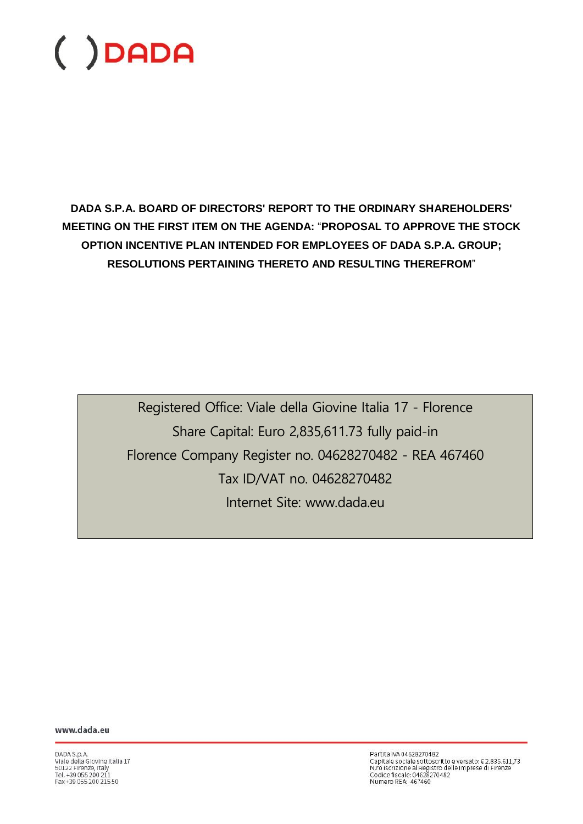**DADA S.P.A. BOARD OF DIRECTORS' REPORT TO THE ORDINARY SHAREHOLDERS' MEETING ON THE FIRST ITEM ON THE AGENDA:** "**PROPOSAL TO APPROVE THE STOCK OPTION INCENTIVE PLAN INTENDED FOR EMPLOYEES OF DADA S.P.A. GROUP; RESOLUTIONS PERTAINING THERETO AND RESULTING THEREFROM**"

> Registered Office: Viale della Giovine Italia 17 - Florence Share Capital: Euro 2,835,611.73 fully paid-in Florence Company Register no. 04628270482 - REA 467460 Tax ID/VAT no. 04628270482 Internet Site: www.dada.eu

www.dada.eu

DADA S.p.A.<br>Viale della Giovine Italia 17<br>50122 Firenze, Italy<br>Tel. +39 055 200 211<br>Fax +39 055 200 215 50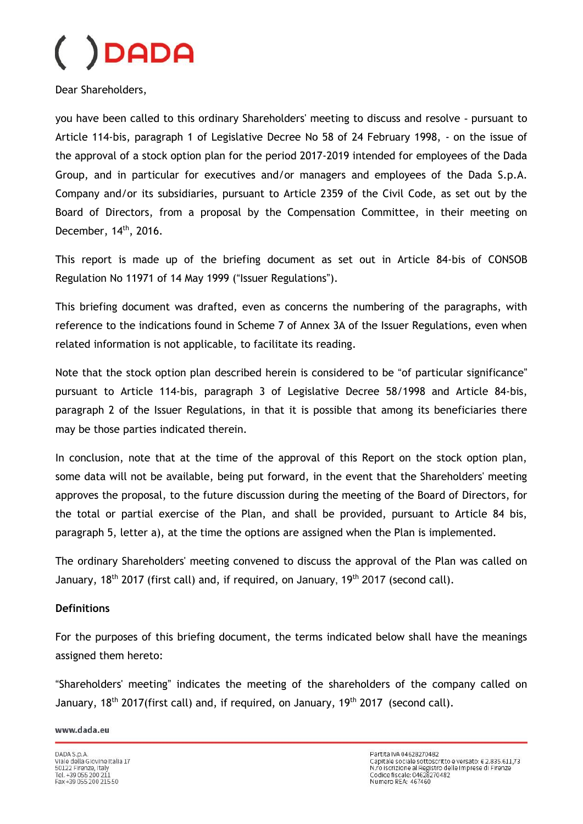Dear Shareholders,

you have been called to this ordinary Shareholders' meeting to discuss and resolve - pursuant to Article 114-bis, paragraph 1 of Legislative Decree No 58 of 24 February 1998, - on the issue of the approval of a stock option plan for the period 2017-2019 intended for employees of the Dada Group, and in particular for executives and/or managers and employees of the Dada S.p.A. Company and/or its subsidiaries, pursuant to Article 2359 of the Civil Code, as set out by the Board of Directors, from a proposal by the Compensation Committee, in their meeting on December, 14<sup>th</sup>, 2016.

This report is made up of the briefing document as set out in Article 84-bis of CONSOB Regulation No 11971 of 14 May 1999 ("Issuer Regulations").

This briefing document was drafted, even as concerns the numbering of the paragraphs, with reference to the indications found in Scheme 7 of Annex 3A of the Issuer Regulations, even when related information is not applicable, to facilitate its reading.

Note that the stock option plan described herein is considered to be "of particular significance" pursuant to Article 114-bis, paragraph 3 of Legislative Decree 58/1998 and Article 84-bis, paragraph 2 of the Issuer Regulations, in that it is possible that among its beneficiaries there may be those parties indicated therein.

In conclusion, note that at the time of the approval of this Report on the stock option plan, some data will not be available, being put forward, in the event that the Shareholders' meeting approves the proposal, to the future discussion during the meeting of the Board of Directors, for the total or partial exercise of the Plan, and shall be provided, pursuant to Article 84 bis, paragraph 5, letter a), at the time the options are assigned when the Plan is implemented.

The ordinary Shareholders' meeting convened to discuss the approval of the Plan was called on January, 18<sup>th</sup> 2017 (first call) and, if required, on January, 19<sup>th</sup> 2017 (second call).

#### **Definitions**

For the purposes of this briefing document, the terms indicated below shall have the meanings assigned them hereto:

"Shareholders' meeting" indicates the meeting of the shareholders of the company called on January, 18<sup>th</sup> 2017(first call) and, if required, on January, 19<sup>th</sup> 2017 (second call).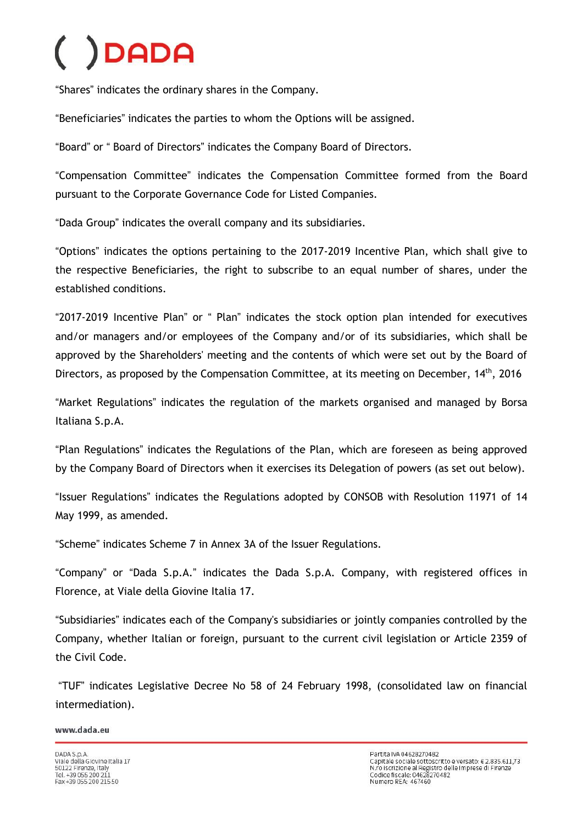"Shares" indicates the ordinary shares in the Company.

"Beneficiaries" indicates the parties to whom the Options will be assigned.

"Board" or " Board of Directors" indicates the Company Board of Directors.

"Compensation Committee" indicates the Compensation Committee formed from the Board pursuant to the Corporate Governance Code for Listed Companies.

"Dada Group" indicates the overall company and its subsidiaries.

"Options" indicates the options pertaining to the 2017-2019 Incentive Plan, which shall give to the respective Beneficiaries, the right to subscribe to an equal number of shares, under the established conditions.

"2017-2019 Incentive Plan" or " Plan" indicates the stock option plan intended for executives and/or managers and/or employees of the Company and/or of its subsidiaries, which shall be approved by the Shareholders' meeting and the contents of which were set out by the Board of Directors, as proposed by the Compensation Committee, at its meeting on December, 14<sup>th</sup>, 2016

"Market Regulations" indicates the regulation of the markets organised and managed by Borsa Italiana S.p.A.

"Plan Regulations" indicates the Regulations of the Plan, which are foreseen as being approved by the Company Board of Directors when it exercises its Delegation of powers (as set out below).

"Issuer Regulations" indicates the Regulations adopted by CONSOB with Resolution 11971 of 14 May 1999, as amended.

"Scheme" indicates Scheme 7 in Annex 3A of the Issuer Regulations.

"Company" or "Dada S.p.A." indicates the Dada S.p.A. Company, with registered offices in Florence, at Viale della Giovine Italia 17.

"Subsidiaries" indicates each of the Company's subsidiaries or jointly companies controlled by the Company, whether Italian or foreign, pursuant to the current civil legislation or Article 2359 of the Civil Code.

"TUF" indicates Legislative Decree No 58 of 24 February 1998, (consolidated law on financial intermediation).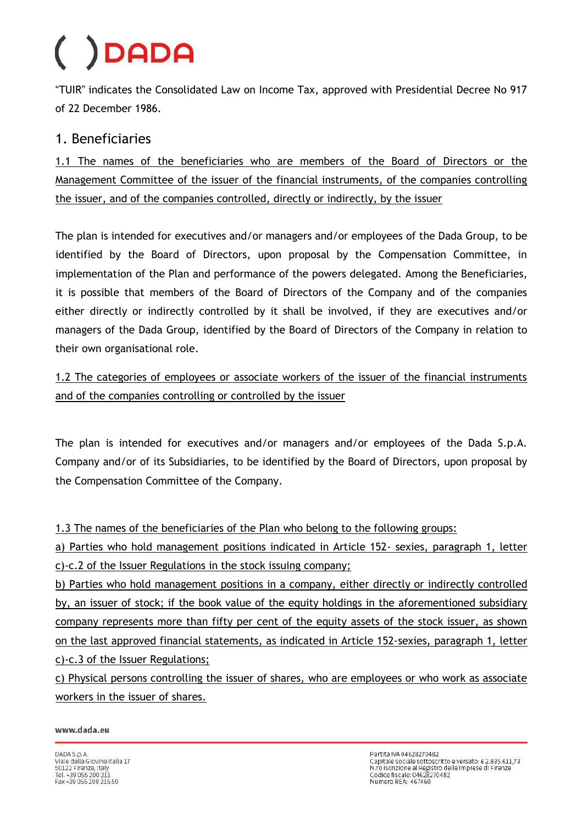"TUIR" indicates the Consolidated Law on Income Tax, approved with Presidential Decree No 917 of 22 December 1986.

### 1. Beneficiaries

1.1 The names of the beneficiaries who are members of the Board of Directors or the Management Committee of the issuer of the financial instruments, of the companies controlling the issuer, and of the companies controlled, directly or indirectly, by the issuer

The plan is intended for executives and/or managers and/or employees of the Dada Group, to be identified by the Board of Directors, upon proposal by the Compensation Committee, in implementation of the Plan and performance of the powers delegated. Among the Beneficiaries, it is possible that members of the Board of Directors of the Company and of the companies either directly or indirectly controlled by it shall be involved, if they are executives and/or managers of the Dada Group, identified by the Board of Directors of the Company in relation to their own organisational role.

1.2 The categories of employees or associate workers of the issuer of the financial instruments and of the companies controlling or controlled by the issuer

The plan is intended for executives and/or managers and/or employees of the Dada S.p.A. Company and/or of its Subsidiaries, to be identified by the Board of Directors, upon proposal by the Compensation Committee of the Company.

1.3 The names of the beneficiaries of the Plan who belong to the following groups:

a) Parties who hold management positions indicated in Article 152- sexies, paragraph 1, letter c)-c.2 of the Issuer Regulations in the stock issuing company;

b) Parties who hold management positions in a company, either directly or indirectly controlled by, an issuer of stock; if the book value of the equity holdings in the aforementioned subsidiary company represents more than fifty per cent of the equity assets of the stock issuer, as shown on the last approved financial statements, as indicated in Article 152-sexies, paragraph 1, letter c)-c.3 of the Issuer Regulations;

c) Physical persons controlling the issuer of shares, who are employees or who work as associate workers in the issuer of shares.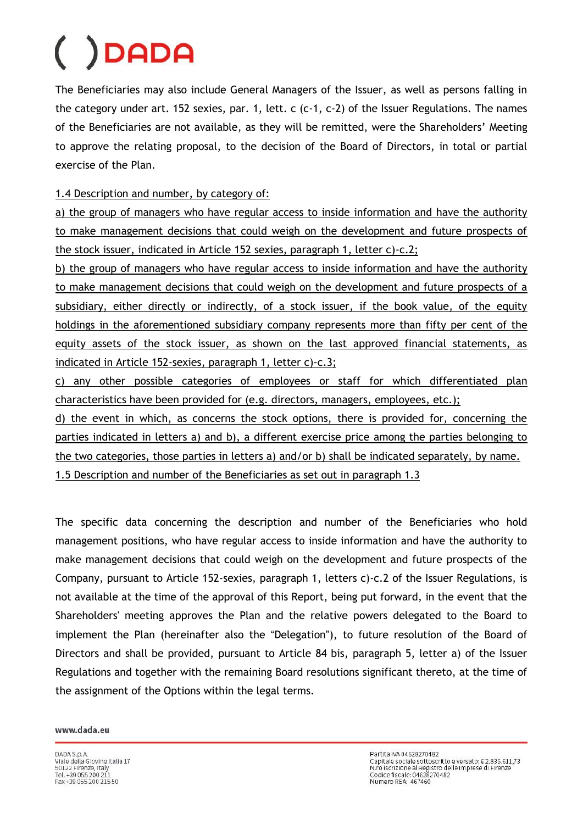The Beneficiaries may also include General Managers of the Issuer, as well as persons falling in the category under art. 152 sexies, par. 1, lett. c (c-1, c-2) of the Issuer Regulations. The names of the Beneficiaries are not available, as they will be remitted, were the Shareholders' Meeting to approve the relating proposal, to the decision of the Board of Directors, in total or partial exercise of the Plan.

1.4 Description and number, by category of:

a) the group of managers who have regular access to inside information and have the authority to make management decisions that could weigh on the development and future prospects of the stock issuer, indicated in Article 152 sexies, paragraph 1, letter c)-c.2;

b) the group of managers who have regular access to inside information and have the authority to make management decisions that could weigh on the development and future prospects of a subsidiary, either directly or indirectly, of a stock issuer, if the book value, of the equity holdings in the aforementioned subsidiary company represents more than fifty per cent of the equity assets of the stock issuer, as shown on the last approved financial statements, as indicated in Article 152-sexies, paragraph 1, letter c)-c.3;

c) any other possible categories of employees or staff for which differentiated plan characteristics have been provided for (e.g. directors, managers, employees, etc.);

d) the event in which, as concerns the stock options, there is provided for, concerning the parties indicated in letters a) and b), a different exercise price among the parties belonging to the two categories, those parties in letters a) and/or b) shall be indicated separately, by name.

1.5 Description and number of the Beneficiaries as set out in paragraph 1.3

The specific data concerning the description and number of the Beneficiaries who hold management positions, who have regular access to inside information and have the authority to make management decisions that could weigh on the development and future prospects of the Company, pursuant to Article 152-sexies, paragraph 1, letters c)-c.2 of the Issuer Regulations, is not available at the time of the approval of this Report, being put forward, in the event that the Shareholders' meeting approves the Plan and the relative powers delegated to the Board to implement the Plan (hereinafter also the "Delegation"), to future resolution of the Board of Directors and shall be provided, pursuant to Article 84 bis, paragraph 5, letter a) of the Issuer Regulations and together with the remaining Board resolutions significant thereto, at the time of the assignment of the Options within the legal terms.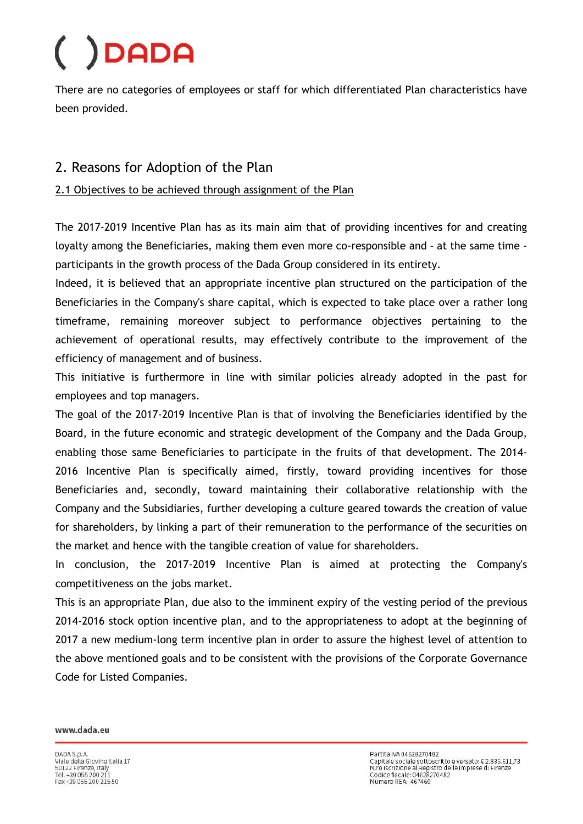There are no categories of employees or staff for which differentiated Plan characteristics have been provided.

### 2. Reasons for Adoption of the Plan

#### 2.1 Objectives to be achieved through assignment of the Plan

The 2017-2019 Incentive Plan has as its main aim that of providing incentives for and creating loyalty among the Beneficiaries, making them even more co-responsible and - at the same time participants in the growth process of the Dada Group considered in its entirety.

Indeed, it is believed that an appropriate incentive plan structured on the participation of the Beneficiaries in the Company's share capital, which is expected to take place over a rather long timeframe, remaining moreover subject to performance objectives pertaining to the achievement of operational results, may effectively contribute to the improvement of the efficiency of management and of business.

This initiative is furthermore in line with similar policies already adopted in the past for employees and top managers.

The goal of the 2017-2019 Incentive Plan is that of involving the Beneficiaries identified by the Board, in the future economic and strategic development of the Company and the Dada Group, enabling those same Beneficiaries to participate in the fruits of that development. The 2014- 2016 Incentive Plan is specifically aimed, firstly, toward providing incentives for those Beneficiaries and, secondly, toward maintaining their collaborative relationship with the Company and the Subsidiaries, further developing a culture geared towards the creation of value for shareholders, by linking a part of their remuneration to the performance of the securities on the market and hence with the tangible creation of value for shareholders.

In conclusion, the 2017-2019 Incentive Plan is aimed at protecting the Company's competitiveness on the jobs market.

This is an appropriate Plan, due also to the imminent expiry of the vesting period of the previous 2014-2016 stock option incentive plan, and to the appropriateness to adopt at the beginning of 2017 a new medium-long term incentive plan in order to assure the highest level of attention to the above mentioned goals and to be consistent with the provisions of the Corporate Governance Code for Listed Companies.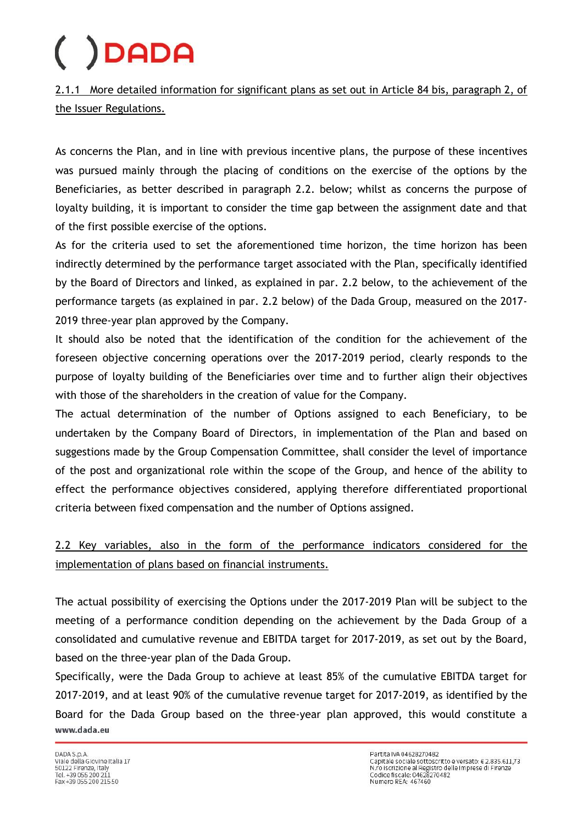2.1.1 More detailed information for significant plans as set out in Article 84 bis, paragraph 2, of the Issuer Regulations.

As concerns the Plan, and in line with previous incentive plans, the purpose of these incentives was pursued mainly through the placing of conditions on the exercise of the options by the Beneficiaries, as better described in paragraph 2.2. below; whilst as concerns the purpose of loyalty building, it is important to consider the time gap between the assignment date and that of the first possible exercise of the options.

As for the criteria used to set the aforementioned time horizon, the time horizon has been indirectly determined by the performance target associated with the Plan, specifically identified by the Board of Directors and linked, as explained in par. 2.2 below, to the achievement of the performance targets (as explained in par. 2.2 below) of the Dada Group, measured on the 2017- 2019 three-year plan approved by the Company.

It should also be noted that the identification of the condition for the achievement of the foreseen objective concerning operations over the 2017-2019 period, clearly responds to the purpose of loyalty building of the Beneficiaries over time and to further align their objectives with those of the shareholders in the creation of value for the Company.

The actual determination of the number of Options assigned to each Beneficiary, to be undertaken by the Company Board of Directors, in implementation of the Plan and based on suggestions made by the Group Compensation Committee, shall consider the level of importance of the post and organizational role within the scope of the Group, and hence of the ability to effect the performance objectives considered, applying therefore differentiated proportional criteria between fixed compensation and the number of Options assigned.

2.2 Key variables, also in the form of the performance indicators considered for the implementation of plans based on financial instruments.

The actual possibility of exercising the Options under the 2017-2019 Plan will be subject to the meeting of a performance condition depending on the achievement by the Dada Group of a consolidated and cumulative revenue and EBITDA target for 2017-2019, as set out by the Board, based on the three-year plan of the Dada Group.

Specifically, were the Dada Group to achieve at least 85% of the cumulative EBITDA target for 2017-2019, and at least 90% of the cumulative revenue target for 2017-2019, as identified by the Board for the Dada Group based on the three-year plan approved, this would constitute a www.dada.eu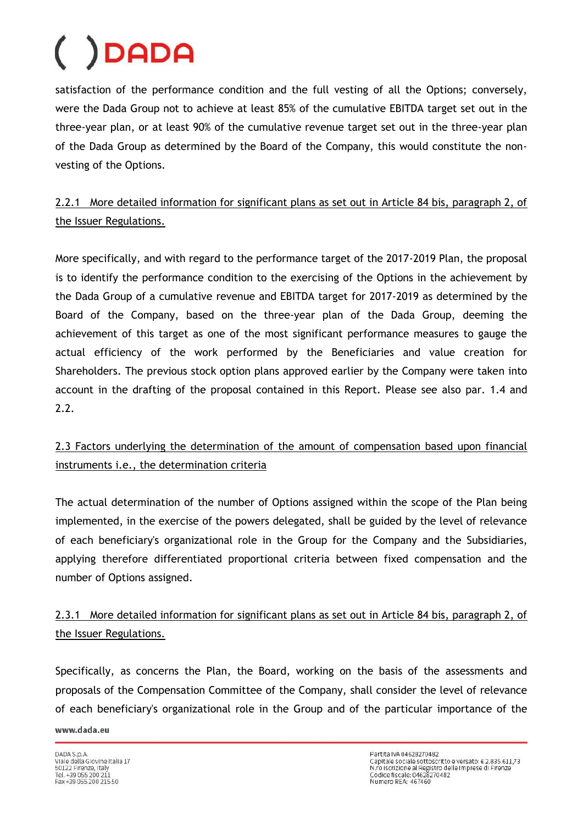satisfaction of the performance condition and the full vesting of all the Options; conversely, were the Dada Group not to achieve at least 85% of the cumulative EBITDA target set out in the three-year plan, or at least 90% of the cumulative revenue target set out in the three-year plan of the Dada Group as determined by the Board of the Company, this would constitute the nonvesting of the Options.

### 2.2.1 More detailed information for significant plans as set out in Article 84 bis, paragraph 2, of the Issuer Regulations.

More specifically, and with regard to the performance target of the 2017-2019 Plan, the proposal is to identify the performance condition to the exercising of the Options in the achievement by the Dada Group of a cumulative revenue and EBITDA target for 2017-2019 as determined by the Board of the Company, based on the three-year plan of the Dada Group, deeming the achievement of this target as one of the most significant performance measures to gauge the actual efficiency of the work performed by the Beneficiaries and value creation for Shareholders. The previous stock option plans approved earlier by the Company were taken into account in the drafting of the proposal contained in this Report. Please see also par. 1.4 and 2.2.

### 2.3 Factors underlying the determination of the amount of compensation based upon financial instruments i.e., the determination criteria

The actual determination of the number of Options assigned within the scope of the Plan being implemented, in the exercise of the powers delegated, shall be guided by the level of relevance of each beneficiary's organizational role in the Group for the Company and the Subsidiaries, applying therefore differentiated proportional criteria between fixed compensation and the number of Options assigned.

### 2.3.1 More detailed information for significant plans as set out in Article 84 bis, paragraph 2, of the Issuer Regulations.

Specifically, as concerns the Plan, the Board, working on the basis of the assessments and proposals of the Compensation Committee of the Company, shall consider the level of relevance of each beneficiary's organizational role in the Group and of the particular importance of the www.dada.eu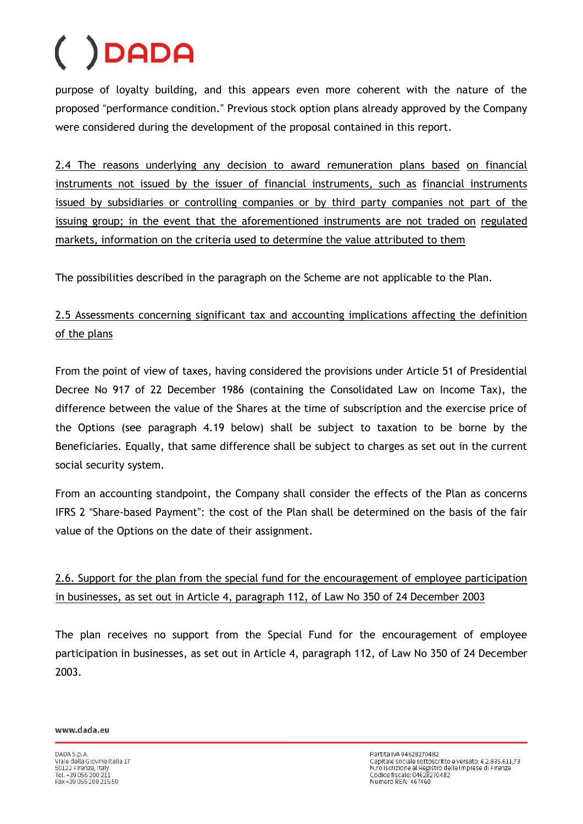purpose of loyalty building, and this appears even more coherent with the nature of the proposed "performance condition." Previous stock option plans already approved by the Company were considered during the development of the proposal contained in this report.

2.4 The reasons underlying any decision to award remuneration plans based on financial instruments not issued by the issuer of financial instruments, such as financial instruments issued by subsidiaries or controlling companies or by third party companies not part of the issuing group; in the event that the aforementioned instruments are not traded on regulated markets, information on the criteria used to determine the value attributed to them

The possibilities described in the paragraph on the Scheme are not applicable to the Plan.

### 2.5 Assessments concerning significant tax and accounting implications affecting the definition of the plans

From the point of view of taxes, having considered the provisions under Article 51 of Presidential Decree No 917 of 22 December 1986 (containing the Consolidated Law on Income Tax), the difference between the value of the Shares at the time of subscription and the exercise price of the Options (see paragraph 4.19 below) shall be subject to taxation to be borne by the Beneficiaries. Equally, that same difference shall be subject to charges as set out in the current social security system.

From an accounting standpoint, the Company shall consider the effects of the Plan as concerns IFRS 2 "Share-based Payment": the cost of the Plan shall be determined on the basis of the fair value of the Options on the date of their assignment.

2.6. Support for the plan from the special fund for the encouragement of employee participation in businesses, as set out in Article 4, paragraph 112, of Law No 350 of 24 December 2003

The plan receives no support from the Special Fund for the encouragement of employee participation in businesses, as set out in Article 4, paragraph 112, of Law No 350 of 24 December 2003.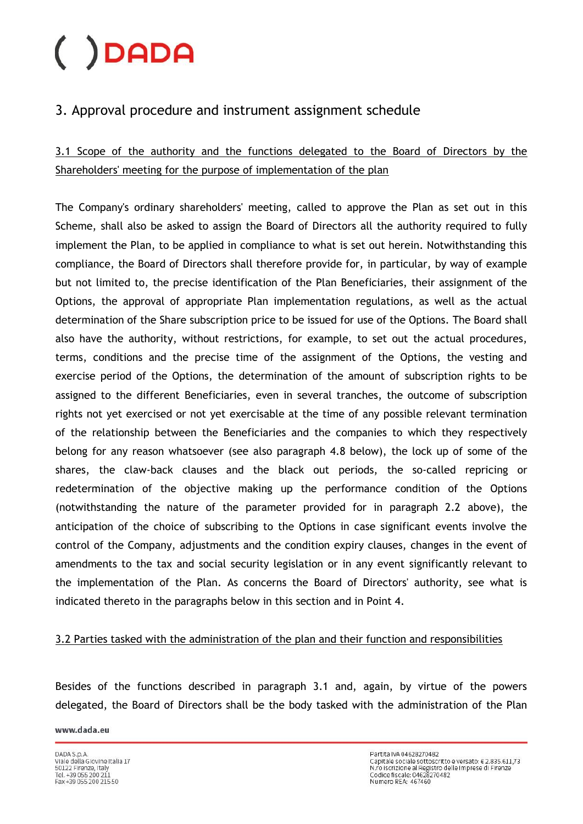### 3. Approval procedure and instrument assignment schedule

3.1 Scope of the authority and the functions delegated to the Board of Directors by the Shareholders' meeting for the purpose of implementation of the plan

The Company's ordinary shareholders' meeting, called to approve the Plan as set out in this Scheme, shall also be asked to assign the Board of Directors all the authority required to fully implement the Plan, to be applied in compliance to what is set out herein. Notwithstanding this compliance, the Board of Directors shall therefore provide for, in particular, by way of example but not limited to, the precise identification of the Plan Beneficiaries, their assignment of the Options, the approval of appropriate Plan implementation regulations, as well as the actual determination of the Share subscription price to be issued for use of the Options. The Board shall also have the authority, without restrictions, for example, to set out the actual procedures, terms, conditions and the precise time of the assignment of the Options, the vesting and exercise period of the Options, the determination of the amount of subscription rights to be assigned to the different Beneficiaries, even in several tranches, the outcome of subscription rights not yet exercised or not yet exercisable at the time of any possible relevant termination of the relationship between the Beneficiaries and the companies to which they respectively belong for any reason whatsoever (see also paragraph 4.8 below), the lock up of some of the shares, the claw-back clauses and the black out periods, the so-called repricing or redetermination of the objective making up the performance condition of the Options (notwithstanding the nature of the parameter provided for in paragraph 2.2 above), the anticipation of the choice of subscribing to the Options in case significant events involve the control of the Company, adjustments and the condition expiry clauses, changes in the event of amendments to the tax and social security legislation or in any event significantly relevant to the implementation of the Plan. As concerns the Board of Directors' authority, see what is indicated thereto in the paragraphs below in this section and in Point 4.

### 3.2 Parties tasked with the administration of the plan and their function and responsibilities

Besides of the functions described in paragraph 3.1 and, again, by virtue of the powers delegated, the Board of Directors shall be the body tasked with the administration of the Plan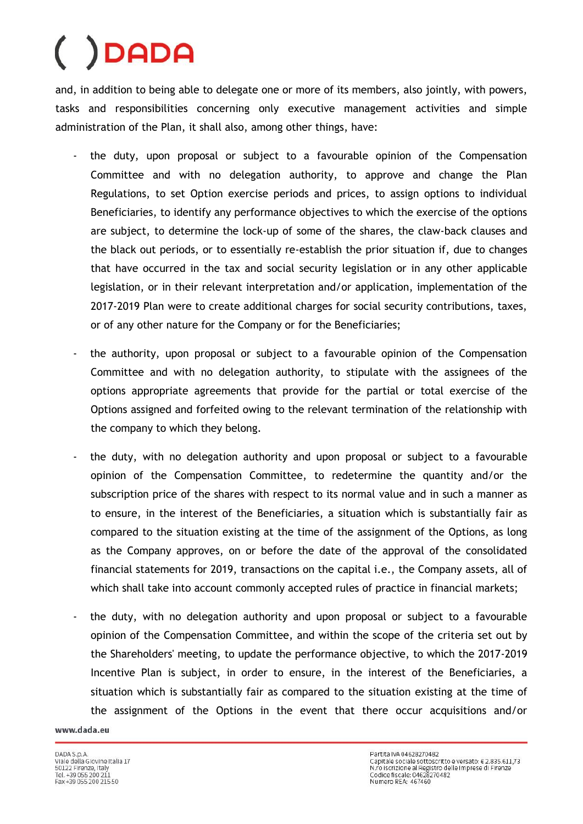and, in addition to being able to delegate one or more of its members, also jointly, with powers, tasks and responsibilities concerning only executive management activities and simple administration of the Plan, it shall also, among other things, have:

- the duty, upon proposal or subject to a favourable opinion of the Compensation Committee and with no delegation authority, to approve and change the Plan Regulations, to set Option exercise periods and prices, to assign options to individual Beneficiaries, to identify any performance objectives to which the exercise of the options are subject, to determine the lock-up of some of the shares, the claw-back clauses and the black out periods, or to essentially re-establish the prior situation if, due to changes that have occurred in the tax and social security legislation or in any other applicable legislation, or in their relevant interpretation and/or application, implementation of the 2017-2019 Plan were to create additional charges for social security contributions, taxes, or of any other nature for the Company or for the Beneficiaries;
- the authority, upon proposal or subject to a favourable opinion of the Compensation Committee and with no delegation authority, to stipulate with the assignees of the options appropriate agreements that provide for the partial or total exercise of the Options assigned and forfeited owing to the relevant termination of the relationship with the company to which they belong.
- the duty, with no delegation authority and upon proposal or subject to a favourable opinion of the Compensation Committee, to redetermine the quantity and/or the subscription price of the shares with respect to its normal value and in such a manner as to ensure, in the interest of the Beneficiaries, a situation which is substantially fair as compared to the situation existing at the time of the assignment of the Options, as long as the Company approves, on or before the date of the approval of the consolidated financial statements for 2019, transactions on the capital i.e., the Company assets, all of which shall take into account commonly accepted rules of practice in financial markets;
- the duty, with no delegation authority and upon proposal or subject to a favourable opinion of the Compensation Committee, and within the scope of the criteria set out by the Shareholders' meeting, to update the performance objective, to which the 2017-2019 Incentive Plan is subject, in order to ensure, in the interest of the Beneficiaries, a situation which is substantially fair as compared to the situation existing at the time of the assignment of the Options in the event that there occur acquisitions and/or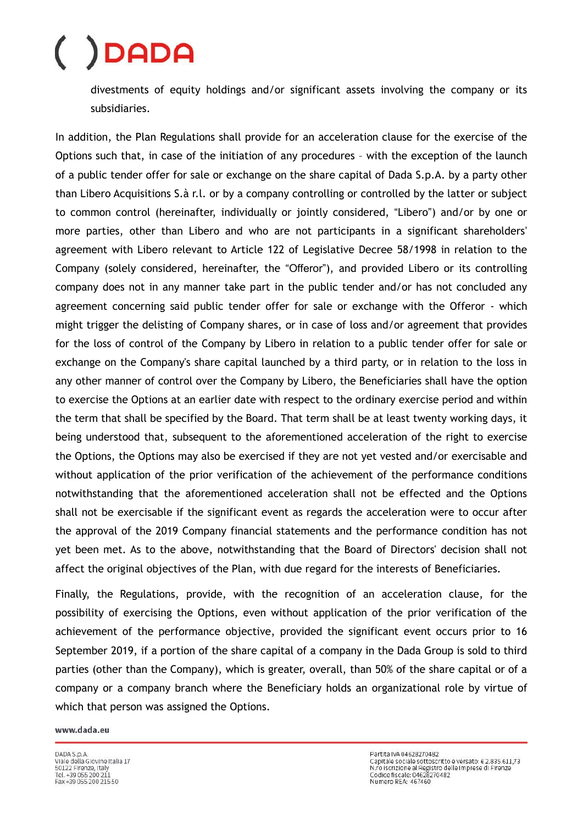divestments of equity holdings and/or significant assets involving the company or its subsidiaries.

In addition, the Plan Regulations shall provide for an acceleration clause for the exercise of the Options such that, in case of the initiation of any procedures – with the exception of the launch of a public tender offer for sale or exchange on the share capital of Dada S.p.A. by a party other than Libero Acquisitions S.à r.l. or by a company controlling or controlled by the latter or subject to common control (hereinafter, individually or jointly considered, "Libero") and/or by one or more parties, other than Libero and who are not participants in a significant shareholders' agreement with Libero relevant to Article 122 of Legislative Decree 58/1998 in relation to the Company (solely considered, hereinafter, the "Offeror"), and provided Libero or its controlling company does not in any manner take part in the public tender and/or has not concluded any agreement concerning said public tender offer for sale or exchange with the Offeror - which might trigger the delisting of Company shares, or in case of loss and/or agreement that provides for the loss of control of the Company by Libero in relation to a public tender offer for sale or exchange on the Company's share capital launched by a third party, or in relation to the loss in any other manner of control over the Company by Libero, the Beneficiaries shall have the option to exercise the Options at an earlier date with respect to the ordinary exercise period and within the term that shall be specified by the Board. That term shall be at least twenty working days, it being understood that, subsequent to the aforementioned acceleration of the right to exercise the Options, the Options may also be exercised if they are not yet vested and/or exercisable and without application of the prior verification of the achievement of the performance conditions notwithstanding that the aforementioned acceleration shall not be effected and the Options shall not be exercisable if the significant event as regards the acceleration were to occur after the approval of the 2019 Company financial statements and the performance condition has not yet been met. As to the above, notwithstanding that the Board of Directors' decision shall not affect the original objectives of the Plan, with due regard for the interests of Beneficiaries.

Finally, the Regulations, provide, with the recognition of an acceleration clause, for the possibility of exercising the Options, even without application of the prior verification of the achievement of the performance objective, provided the significant event occurs prior to 16 September 2019, if a portion of the share capital of a company in the Dada Group is sold to third parties (other than the Company), which is greater, overall, than 50% of the share capital or of a company or a company branch where the Beneficiary holds an organizational role by virtue of which that person was assigned the Options.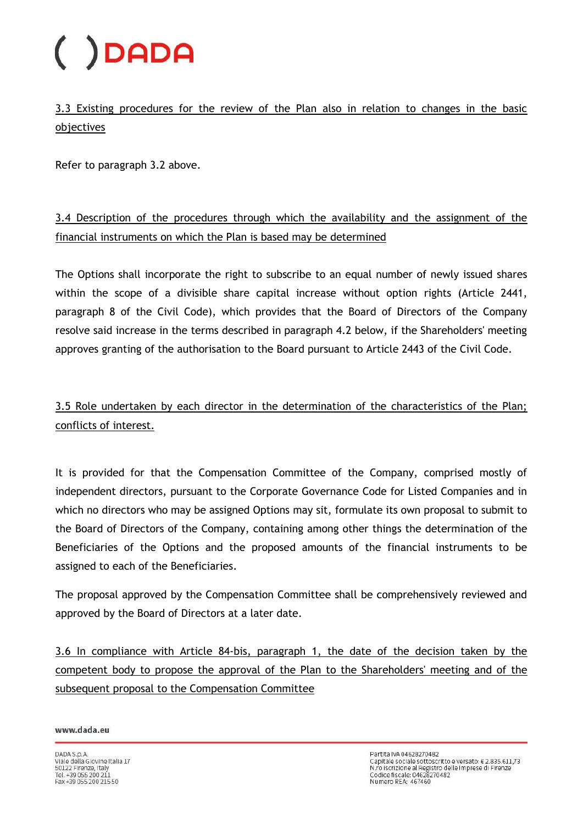3.3 Existing procedures for the review of the Plan also in relation to changes in the basic objectives

Refer to paragraph 3.2 above.

3.4 Description of the procedures through which the availability and the assignment of the financial instruments on which the Plan is based may be determined

The Options shall incorporate the right to subscribe to an equal number of newly issued shares within the scope of a divisible share capital increase without option rights (Article 2441, paragraph 8 of the Civil Code), which provides that the Board of Directors of the Company resolve said increase in the terms described in paragraph 4.2 below, if the Shareholders' meeting approves granting of the authorisation to the Board pursuant to Article 2443 of the Civil Code.

3.5 Role undertaken by each director in the determination of the characteristics of the Plan; conflicts of interest.

It is provided for that the Compensation Committee of the Company, comprised mostly of independent directors, pursuant to the Corporate Governance Code for Listed Companies and in which no directors who may be assigned Options may sit, formulate its own proposal to submit to the Board of Directors of the Company, containing among other things the determination of the Beneficiaries of the Options and the proposed amounts of the financial instruments to be assigned to each of the Beneficiaries.

The proposal approved by the Compensation Committee shall be comprehensively reviewed and approved by the Board of Directors at a later date.

3.6 In compliance with Article 84-bis, paragraph 1, the date of the decision taken by the competent body to propose the approval of the Plan to the Shareholders' meeting and of the subsequent proposal to the Compensation Committee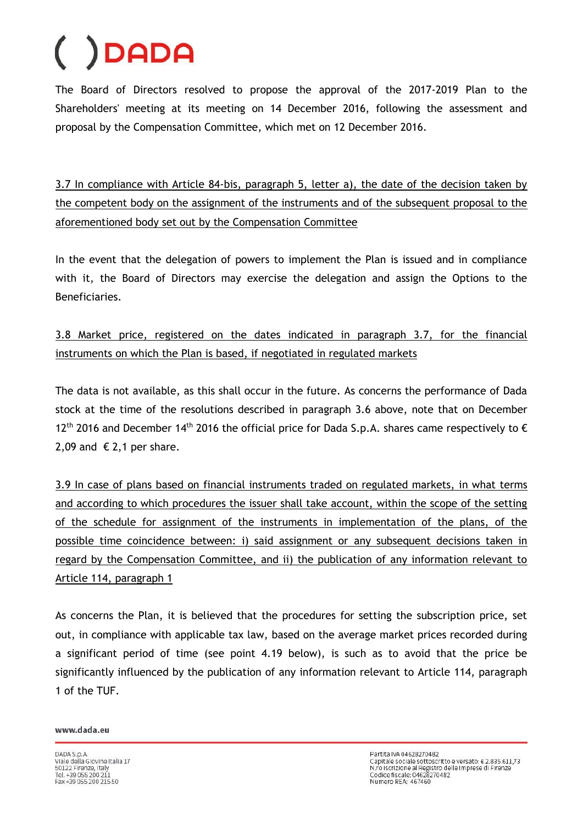The Board of Directors resolved to propose the approval of the 2017-2019 Plan to the Shareholders' meeting at its meeting on 14 December 2016, following the assessment and proposal by the Compensation Committee, which met on 12 December 2016.

3.7 In compliance with Article 84-bis, paragraph 5, letter a), the date of the decision taken by the competent body on the assignment of the instruments and of the subsequent proposal to the aforementioned body set out by the Compensation Committee

In the event that the delegation of powers to implement the Plan is issued and in compliance with it, the Board of Directors may exercise the delegation and assign the Options to the Beneficiaries.

3.8 Market price, registered on the dates indicated in paragraph 3.7, for the financial instruments on which the Plan is based, if negotiated in regulated markets

The data is not available, as this shall occur in the future. As concerns the performance of Dada stock at the time of the resolutions described in paragraph 3.6 above, note that on December 12<sup>th</sup> 2016 and December 14<sup>th</sup> 2016 the official price for Dada S.p.A. shares came respectively to  $\epsilon$ 2,09 and  $\epsilon$  2,1 per share.

3.9 In case of plans based on financial instruments traded on regulated markets, in what terms and according to which procedures the issuer shall take account, within the scope of the setting of the schedule for assignment of the instruments in implementation of the plans, of the possible time coincidence between: i) said assignment or any subsequent decisions taken in regard by the Compensation Committee, and ii) the publication of any information relevant to Article 114, paragraph 1

As concerns the Plan, it is believed that the procedures for setting the subscription price, set out, in compliance with applicable tax law, based on the average market prices recorded during a significant period of time (see point 4.19 below), is such as to avoid that the price be significantly influenced by the publication of any information relevant to Article 114, paragraph 1 of the TUF.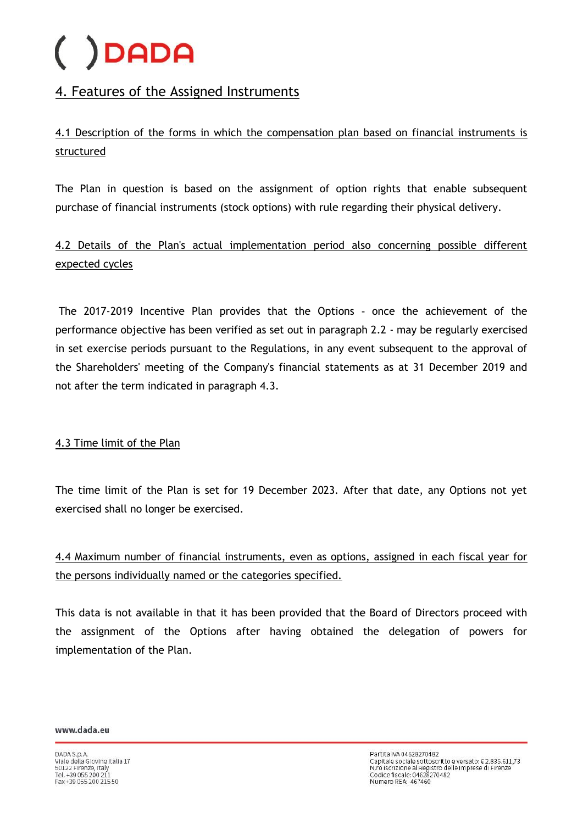### 4. Features of the Assigned Instruments

4.1 Description of the forms in which the compensation plan based on financial instruments is structured

The Plan in question is based on the assignment of option rights that enable subsequent purchase of financial instruments (stock options) with rule regarding their physical delivery.

### 4.2 Details of the Plan's actual implementation period also concerning possible different expected cycles

The 2017-2019 Incentive Plan provides that the Options - once the achievement of the performance objective has been verified as set out in paragraph 2.2 - may be regularly exercised in set exercise periods pursuant to the Regulations, in any event subsequent to the approval of the Shareholders' meeting of the Company's financial statements as at 31 December 2019 and not after the term indicated in paragraph 4.3.

### 4.3 Time limit of the Plan

The time limit of the Plan is set for 19 December 2023. After that date, any Options not yet exercised shall no longer be exercised.

4.4 Maximum number of financial instruments, even as options, assigned in each fiscal year for the persons individually named or the categories specified.

This data is not available in that it has been provided that the Board of Directors proceed with the assignment of the Options after having obtained the delegation of powers for implementation of the Plan.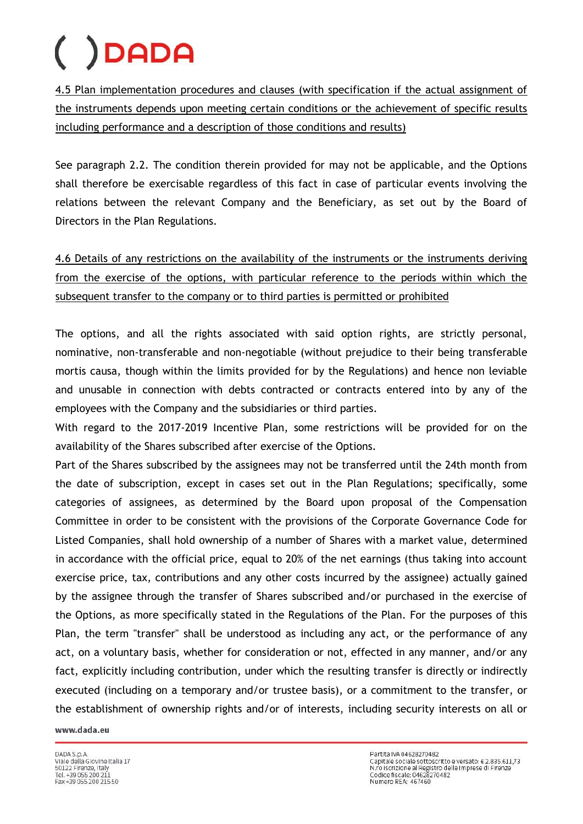4.5 Plan implementation procedures and clauses (with specification if the actual assignment of the instruments depends upon meeting certain conditions or the achievement of specific results including performance and a description of those conditions and results)

See paragraph 2.2. The condition therein provided for may not be applicable, and the Options shall therefore be exercisable regardless of this fact in case of particular events involving the relations between the relevant Company and the Beneficiary, as set out by the Board of Directors in the Plan Regulations.

4.6 Details of any restrictions on the availability of the instruments or the instruments deriving from the exercise of the options, with particular reference to the periods within which the subsequent transfer to the company or to third parties is permitted or prohibited

The options, and all the rights associated with said option rights, are strictly personal, nominative, non-transferable and non-negotiable (without prejudice to their being transferable mortis causa, though within the limits provided for by the Regulations) and hence non leviable and unusable in connection with debts contracted or contracts entered into by any of the employees with the Company and the subsidiaries or third parties.

With regard to the 2017-2019 Incentive Plan, some restrictions will be provided for on the availability of the Shares subscribed after exercise of the Options.

Part of the Shares subscribed by the assignees may not be transferred until the 24th month from the date of subscription, except in cases set out in the Plan Regulations; specifically, some categories of assignees, as determined by the Board upon proposal of the Compensation Committee in order to be consistent with the provisions of the Corporate Governance Code for Listed Companies, shall hold ownership of a number of Shares with a market value, determined in accordance with the official price, equal to 20% of the net earnings (thus taking into account exercise price, tax, contributions and any other costs incurred by the assignee) actually gained by the assignee through the transfer of Shares subscribed and/or purchased in the exercise of the Options, as more specifically stated in the Regulations of the Plan. For the purposes of this Plan, the term "transfer" shall be understood as including any act, or the performance of any act, on a voluntary basis, whether for consideration or not, effected in any manner, and/or any fact, explicitly including contribution, under which the resulting transfer is directly or indirectly executed (including on a temporary and/or trustee basis), or a commitment to the transfer, or the establishment of ownership rights and/or of interests, including security interests on all or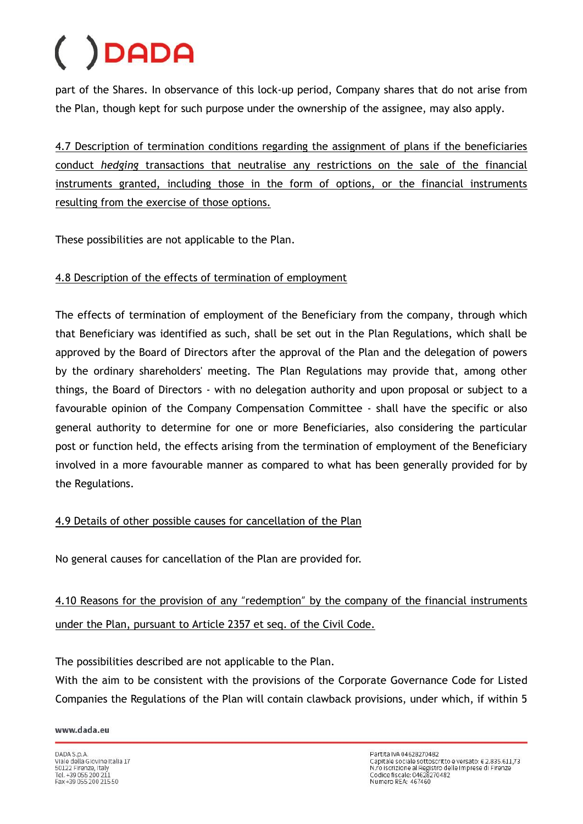part of the Shares. In observance of this lock-up period, Company shares that do not arise from the Plan, though kept for such purpose under the ownership of the assignee, may also apply.

4.7 Description of termination conditions regarding the assignment of plans if the beneficiaries conduct *hedging* transactions that neutralise any restrictions on the sale of the financial instruments granted, including those in the form of options, or the financial instruments resulting from the exercise of those options.

These possibilities are not applicable to the Plan.

### 4.8 Description of the effects of termination of employment

The effects of termination of employment of the Beneficiary from the company, through which that Beneficiary was identified as such, shall be set out in the Plan Regulations, which shall be approved by the Board of Directors after the approval of the Plan and the delegation of powers by the ordinary shareholders' meeting. The Plan Regulations may provide that, among other things, the Board of Directors - with no delegation authority and upon proposal or subject to a favourable opinion of the Company Compensation Committee - shall have the specific or also general authority to determine for one or more Beneficiaries, also considering the particular post or function held, the effects arising from the termination of employment of the Beneficiary involved in a more favourable manner as compared to what has been generally provided for by the Regulations.

### 4.9 Details of other possible causes for cancellation of the Plan

No general causes for cancellation of the Plan are provided for.

4.10 Reasons for the provision of any "redemption" by the company of the financial instruments under the Plan, pursuant to Article 2357 et seq. of the Civil Code.

The possibilities described are not applicable to the Plan.

With the aim to be consistent with the provisions of the Corporate Governance Code for Listed Companies the Regulations of the Plan will contain clawback provisions, under which, if within 5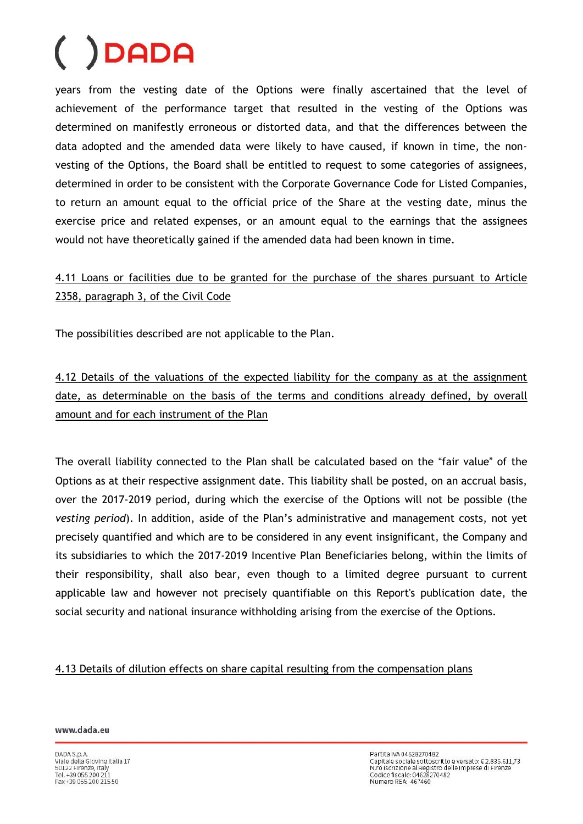years from the vesting date of the Options were finally ascertained that the level of achievement of the performance target that resulted in the vesting of the Options was determined on manifestly erroneous or distorted data, and that the differences between the data adopted and the amended data were likely to have caused, if known in time, the nonvesting of the Options, the Board shall be entitled to request to some categories of assignees, determined in order to be consistent with the Corporate Governance Code for Listed Companies, to return an amount equal to the official price of the Share at the vesting date, minus the exercise price and related expenses, or an amount equal to the earnings that the assignees would not have theoretically gained if the amended data had been known in time.

### 4.11 Loans or facilities due to be granted for the purchase of the shares pursuant to Article 2358, paragraph 3, of the Civil Code

The possibilities described are not applicable to the Plan.

4.12 Details of the valuations of the expected liability for the company as at the assignment date, as determinable on the basis of the terms and conditions already defined, by overall amount and for each instrument of the Plan

The overall liability connected to the Plan shall be calculated based on the "fair value" of the Options as at their respective assignment date. This liability shall be posted, on an accrual basis, over the 2017-2019 period, during which the exercise of the Options will not be possible (the *vesting period*). In addition, aside of the Plan's administrative and management costs, not yet precisely quantified and which are to be considered in any event insignificant, the Company and its subsidiaries to which the 2017-2019 Incentive Plan Beneficiaries belong, within the limits of their responsibility, shall also bear, even though to a limited degree pursuant to current applicable law and however not precisely quantifiable on this Report's publication date, the social security and national insurance withholding arising from the exercise of the Options.

#### 4.13 Details of dilution effects on share capital resulting from the compensation plans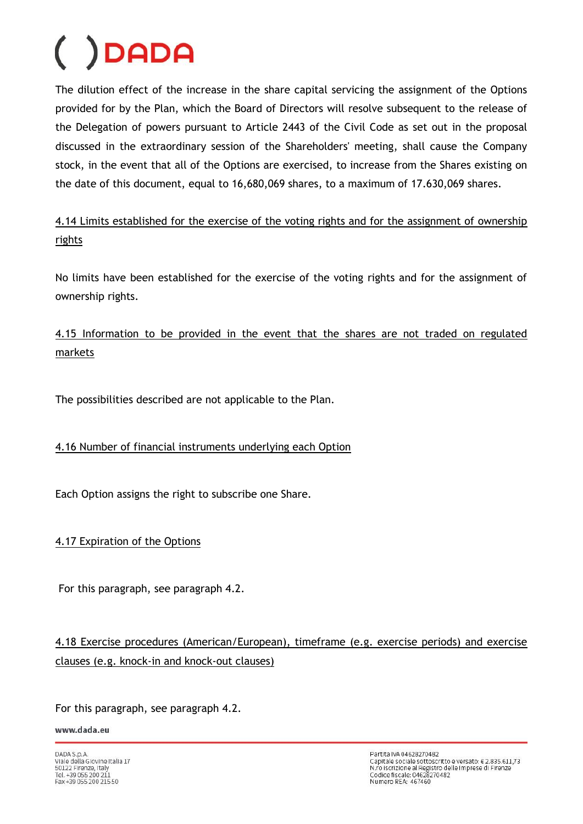The dilution effect of the increase in the share capital servicing the assignment of the Options provided for by the Plan, which the Board of Directors will resolve subsequent to the release of the Delegation of powers pursuant to Article 2443 of the Civil Code as set out in the proposal discussed in the extraordinary session of the Shareholders' meeting, shall cause the Company stock, in the event that all of the Options are exercised, to increase from the Shares existing on the date of this document, equal to 16,680,069 shares, to a maximum of 17.630,069 shares.

4.14 Limits established for the exercise of the voting rights and for the assignment of ownership rights

No limits have been established for the exercise of the voting rights and for the assignment of ownership rights.

### 4.15 Information to be provided in the event that the shares are not traded on regulated markets

The possibilities described are not applicable to the Plan.

### 4.16 Number of financial instruments underlying each Option

Each Option assigns the right to subscribe one Share.

### 4.17 Expiration of the Options

For this paragraph, see paragraph 4.2.

### 4.18 Exercise procedures (American/European), timeframe (e.g. exercise periods) and exercise clauses (e.g. knock-in and knock-out clauses)

For this paragraph, see paragraph 4.2.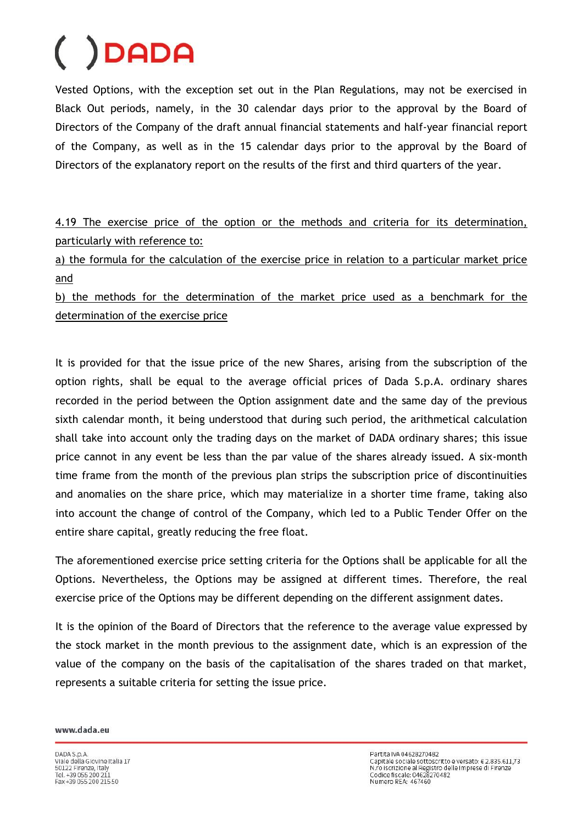Vested Options, with the exception set out in the Plan Regulations, may not be exercised in Black Out periods, namely, in the 30 calendar days prior to the approval by the Board of Directors of the Company of the draft annual financial statements and half-year financial report of the Company, as well as in the 15 calendar days prior to the approval by the Board of Directors of the explanatory report on the results of the first and third quarters of the year.

4.19 The exercise price of the option or the methods and criteria for its determination, particularly with reference to:

a) the formula for the calculation of the exercise price in relation to a particular market price and

b) the methods for the determination of the market price used as a benchmark for the determination of the exercise price

It is provided for that the issue price of the new Shares, arising from the subscription of the option rights, shall be equal to the average official prices of Dada S.p.A. ordinary shares recorded in the period between the Option assignment date and the same day of the previous sixth calendar month, it being understood that during such period, the arithmetical calculation shall take into account only the trading days on the market of DADA ordinary shares; this issue price cannot in any event be less than the par value of the shares already issued. A six-month time frame from the month of the previous plan strips the subscription price of discontinuities and anomalies on the share price, which may materialize in a shorter time frame, taking also into account the change of control of the Company, which led to a Public Tender Offer on the entire share capital, greatly reducing the free float.

The aforementioned exercise price setting criteria for the Options shall be applicable for all the Options. Nevertheless, the Options may be assigned at different times. Therefore, the real exercise price of the Options may be different depending on the different assignment dates.

It is the opinion of the Board of Directors that the reference to the average value expressed by the stock market in the month previous to the assignment date, which is an expression of the value of the company on the basis of the capitalisation of the shares traded on that market, represents a suitable criteria for setting the issue price.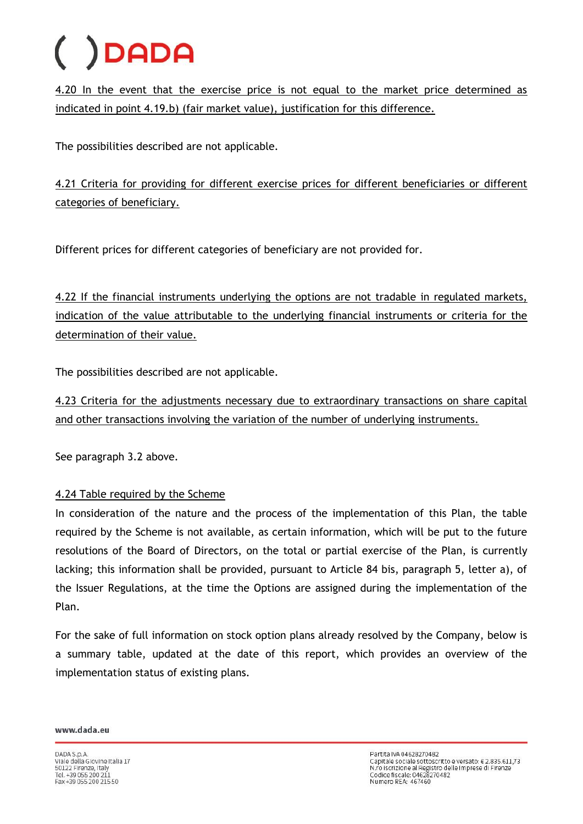4.20 In the event that the exercise price is not equal to the market price determined as indicated in point 4.19.b) (fair market value), justification for this difference.

The possibilities described are not applicable.

4.21 Criteria for providing for different exercise prices for different beneficiaries or different categories of beneficiary.

Different prices for different categories of beneficiary are not provided for.

4.22 If the financial instruments underlying the options are not tradable in regulated markets, indication of the value attributable to the underlying financial instruments or criteria for the determination of their value.

The possibilities described are not applicable.

4.23 Criteria for the adjustments necessary due to extraordinary transactions on share capital and other transactions involving the variation of the number of underlying instruments.

See paragraph 3.2 above.

### 4.24 Table required by the Scheme

In consideration of the nature and the process of the implementation of this Plan, the table required by the Scheme is not available, as certain information, which will be put to the future resolutions of the Board of Directors, on the total or partial exercise of the Plan, is currently lacking; this information shall be provided, pursuant to Article 84 bis, paragraph 5, letter a), of the Issuer Regulations, at the time the Options are assigned during the implementation of the Plan.

For the sake of full information on stock option plans already resolved by the Company, below is a summary table, updated at the date of this report, which provides an overview of the implementation status of existing plans.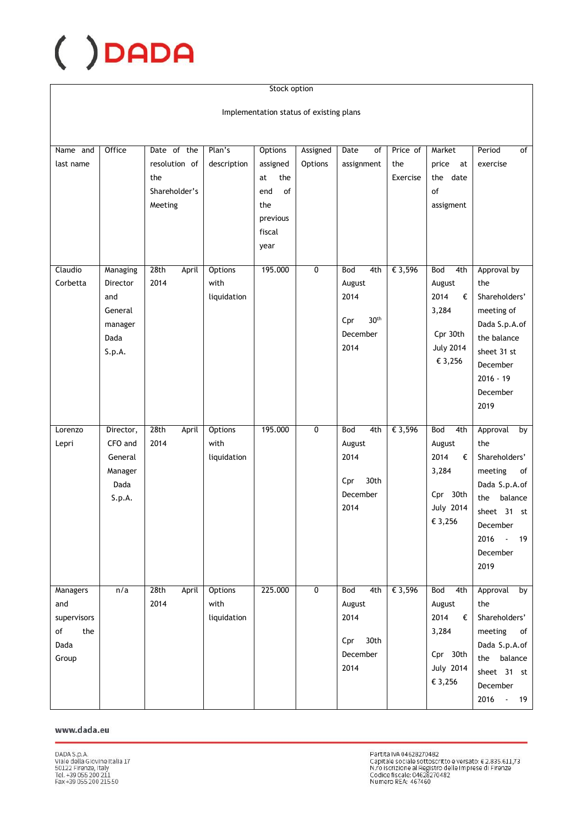#### Stock option

Implementation status of existing plans

| Name and<br>last name                                               | Office                                                              | Date of the<br>resolution of<br>the<br>Shareholder's<br>Meeting | Plan's<br>description                 | <b>Options</b><br>assigned<br>the<br>at<br>of<br>end<br>the<br>previous<br>fiscal<br>year | Assigned<br>Options | Date<br>of<br>assignment                                                    | Price of<br>the<br>Exercise | Market<br>price<br>at<br>the date<br>of<br>assigment                                         | $\overline{of}$<br>Period<br>exercise                                                                                                                             |
|---------------------------------------------------------------------|---------------------------------------------------------------------|-----------------------------------------------------------------|---------------------------------------|-------------------------------------------------------------------------------------------|---------------------|-----------------------------------------------------------------------------|-----------------------------|----------------------------------------------------------------------------------------------|-------------------------------------------------------------------------------------------------------------------------------------------------------------------|
| Claudio<br>Corbetta                                                 | Managing<br>Director<br>and<br>General<br>manager<br>Dada<br>S.p.A. | 28th<br>April<br>2014                                           | Options<br>with<br>liquidation        | 195.000                                                                                   | $\overline{0}$      | Bod<br>4th<br>August<br>2014<br>30 <sup>th</sup><br>Cpr<br>December<br>2014 | € 3,596                     | Bod<br>4th<br>August<br>2014<br>€<br>3,284<br>Cpr 30th<br><b>July 2014</b><br>€ 3,256        | Approval by<br>the<br>Shareholders'<br>meeting of<br>Dada S.p.A.of<br>the balance<br>sheet 31 st<br>December<br>$2016 - 19$<br>December<br>2019                   |
| Lorenzo<br>Lepri                                                    | Director,<br>CFO and<br>General<br>Manager<br>Dada<br>S.p.A.        | 28th<br>April<br>2014                                           | Options<br>with<br>liquidation        | 195.000                                                                                   | $\overline{0}$      | 4th<br><b>Bod</b><br>August<br>2014<br>30th<br>Cpr<br>December<br>2014      | € 3,596                     | <b>Bod</b><br>4th<br>August<br>2014<br>€<br>3,284<br>Cpr 30th<br><b>July 2014</b><br>€ 3,256 | Approval<br>by<br>the<br>Shareholders'<br>of<br>meeting<br>Dada S.p.A.of<br>balance<br>the<br>sheet 31 st<br>December<br>2016<br>$\sim$<br>19<br>December<br>2019 |
| <b>Managers</b><br>and<br>supervisors<br>of<br>the<br>Dada<br>Group | n/a                                                                 | 28th<br>April<br>2014                                           | <b>Options</b><br>with<br>liquidation | 225.000                                                                                   | $\overline{0}$      | Bod<br>4th<br>August<br>2014<br>30th<br>Cpr<br>December<br>2014             | € 3,596                     | Bod<br>4th<br>August<br>2014<br>€<br>3,284<br>Cpr 30th<br><b>July 2014</b><br>€ 3,256        | Approval<br>by<br>the<br>Shareholders'<br>meeting<br>of<br>Dada S.p.A.of<br>the balance<br>sheet 31 st<br>December<br>2016<br>$\omega$<br>19                      |

#### www.dada.eu

Partita IVA 04628270482<br>Capitale sociale sottoscritto e versato: € 2.835.611,73<br>N.ro iscrizione al Registro delle Imprese di Firenze<br>Codice fiscale: 04628270482<br>Numero REA: 467460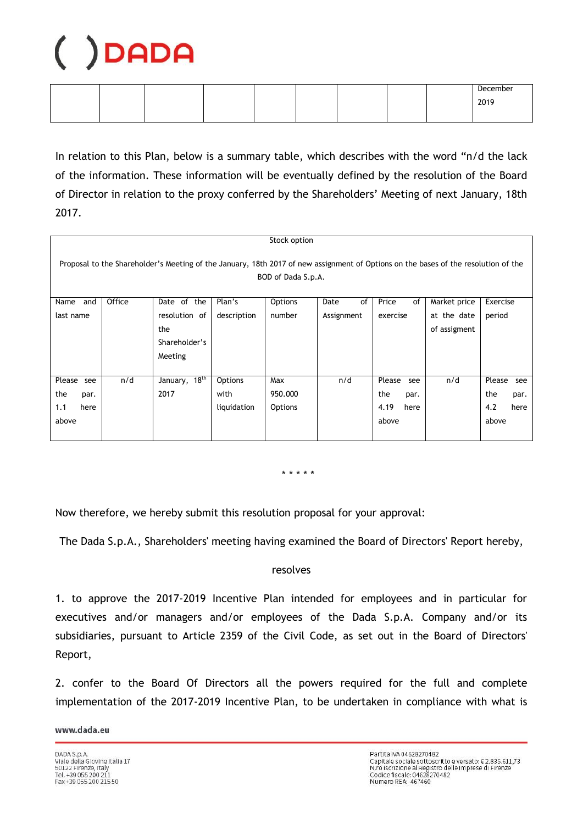|  |  |  |  | December       |
|--|--|--|--|----------------|
|  |  |  |  | 2019<br>ZU I 7 |
|  |  |  |  |                |

In relation to this Plan, below is a summary table, which describes with the word "n/d the lack of the information. These information will be eventually defined by the resolution of the Board of Director in relation to the proxy conferred by the Shareholders' Meeting of next January, 18th 2017.

| Stock option                                                                                                                                             |        |                           |             |                |            |               |              |               |  |  |
|----------------------------------------------------------------------------------------------------------------------------------------------------------|--------|---------------------------|-------------|----------------|------------|---------------|--------------|---------------|--|--|
| Proposal to the Shareholder's Meeting of the January, 18th 2017 of new assignment of Options on the bases of the resolution of the<br>BOD of Dada S.p.A. |        |                           |             |                |            |               |              |               |  |  |
| and<br>Name                                                                                                                                              | Office | Date of the               | Plan's      | Options        | of<br>Date | Price<br>of   | Market price | Exercise      |  |  |
| last name                                                                                                                                                |        | resolution of             | description | number         | Assignment | exercise      | at the date  | period        |  |  |
|                                                                                                                                                          |        | the                       |             |                |            |               | of assigment |               |  |  |
|                                                                                                                                                          |        | Shareholder's             |             |                |            |               |              |               |  |  |
|                                                                                                                                                          |        | Meeting                   |             |                |            |               |              |               |  |  |
|                                                                                                                                                          |        |                           |             |                |            |               |              |               |  |  |
| Please<br>see                                                                                                                                            | n/d    | January, 18 <sup>th</sup> | Options     | Max            | n/d        | Please<br>see | n/d          | Please<br>see |  |  |
| the<br>par.                                                                                                                                              |        | 2017                      | with        | 950.000        |            | the<br>par.   |              | the<br>par.   |  |  |
| 1.1<br>here                                                                                                                                              |        |                           | liquidation | <b>Options</b> |            | 4.19<br>here  |              | 4.2<br>here   |  |  |
| above                                                                                                                                                    |        |                           |             |                |            | above         |              | above         |  |  |
|                                                                                                                                                          |        |                           |             |                |            |               |              |               |  |  |

\* \* \* \* \*

Now therefore, we hereby submit this resolution proposal for your approval:

The Dada S.p.A., Shareholders' meeting having examined the Board of Directors' Report hereby,

#### resolves

1. to approve the 2017-2019 Incentive Plan intended for employees and in particular for executives and/or managers and/or employees of the Dada S.p.A. Company and/or its subsidiaries, pursuant to Article 2359 of the Civil Code, as set out in the Board of Directors' Report,

2. confer to the Board Of Directors all the powers required for the full and complete implementation of the 2017-2019 Incentive Plan, to be undertaken in compliance with what is